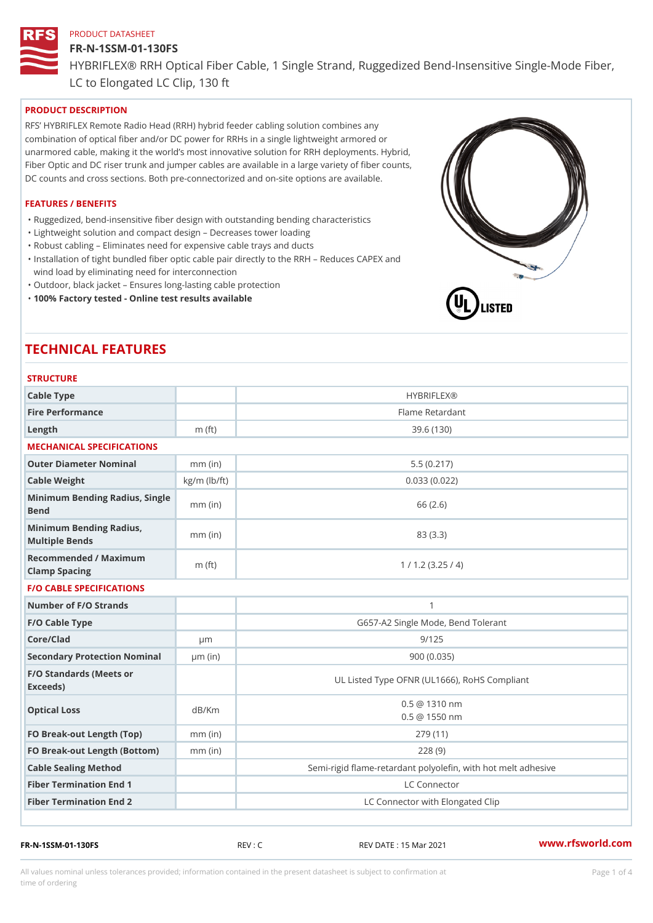#### FR-N-1SSM-01-130FS

HYBRIFLEX® RRH Optical Fiber Cable, 1 Single Strand, Ruggedized Be

LC to Elongated LC Clip, 130 ft

## PRODUCT DESCRIPTION

RFS HYBRIFLEX Remote Radio Head (RRH) hybrid feeder cabling solution combines any combination of optical fiber and/or DC power for RRHs in a single lightweight armored or unarmored cable, making it the world s most innovative solution for RRH deployments. Hybrid, Fiber Optic and DC riser trunk and jumper cables are available in a large variety of fiber counts, DC counts and cross sections. Both pre-connectorized and on-site options are available.

#### FEATURES / BENEFITS

"Ruggedized, bend-insensitive fiber design with outstanding bending characteristics

- "Lightweight solution and compact design Decreases tower loading
- "Robust cabling Eliminates need for expensive cable trays and ducts
- "Installation of tight bundled fiber optic cable pair directly to the RRH Aeduces CAPEX and wind load by eliminating need for interconnection
- "Outdoor, black jacket Ensures long-lasting cable protection
- "100% Factory tested Online test results available

# TECHNICAL FEATURES

| <b>STRUCTURE</b>                                  |                         |                                                          |  |
|---------------------------------------------------|-------------------------|----------------------------------------------------------|--|
| Cable Type                                        |                         | <b>HYBRIFLEX®</b>                                        |  |
| Fire Performance                                  |                         | Flame Retardant                                          |  |
| Length                                            | m $(ft)$                | 39.6(130)                                                |  |
| MECHANICAL SPECIFICATIONS                         |                         |                                                          |  |
| Outer Diameter Nominal                            | 5.5(0.217)<br>$mm$ (in) |                                                          |  |
| Cable Weight                                      | $kg/m$ ( $lb/ft$ )      | 0.033(0.022)                                             |  |
| Minimum Bending Radius, Single<br>mm (in)<br>Bend |                         | 66 (2.6)                                                 |  |
| Minimum Bending Radius, mm (in)<br>Multiple Bends |                         | 83 (3.3)                                                 |  |
| Recommended / Maximum<br>Clamp Spacing            | $m$ (ft)                | 1 / 1.2 (3.25 / 4)                                       |  |
| <b>F/O CABLE SPECIFICATIONS</b>                   |                         |                                                          |  |
| Number of F/O Strands                             |                         | $\mathbf{1}$                                             |  |
| F/O Cable Type                                    |                         | G657-A2 Single Mode, Bend Tolerant                       |  |
| Core/Clad                                         | $\mu$ m                 | 9/125                                                    |  |
| Secondary Protection Nomimal(in)                  |                         | 900(0.035)                                               |  |
| F/O Standards (Meets or<br>Exceeds)               |                         | UL Listed Type OFNR (UL1666), RoHS Compliant             |  |
| Optical Loss                                      | dB/Km                   | $0.5 \ @ \ 1310 \ nm$<br>$0.5 \t@ 1550 nm$               |  |
| FO Break-out Length (Top)mm (in)                  |                         | 279 (11)                                                 |  |
| FO Break-out Length (Bottomm) (in)                |                         | 228(9)                                                   |  |
| Cable Sealing Method                              |                         | Semi-rigid flame-retardant polyolefin, with hot melt adl |  |
| Fiber Termination End                             |                         | LC Connector                                             |  |
| Fiber Termination End 2                           |                         | LC Connector with Elongated Clip                         |  |

FR-N-1SSM-01-130FS REV : C REV DATE : 15 Mar 2021 [www.](https://www.rfsworld.com)rfsworld.com

All values nominal unless tolerances provided; information contained in the present datasheet is subject to Pcapgeligimation time of ordering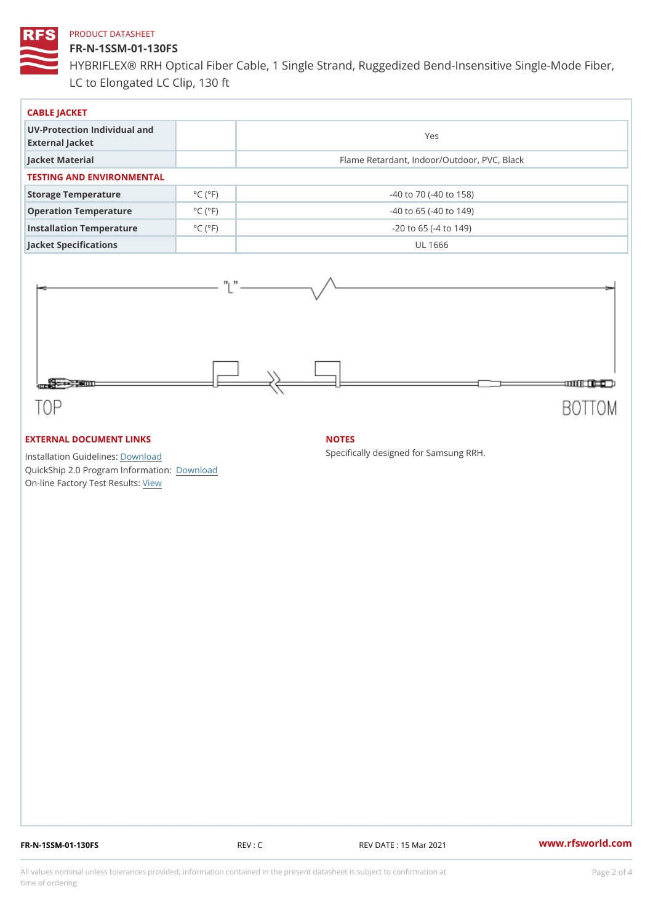#### FR-N-1SSM-01-130FS

HYBRIFLEX® RRH Optical Fiber Cable, 1 Single Strand, Ruggedized Be LC to Elongated LC Clip, 130 ft

| CABLE JACKET                                    |                             |                                             |  |  |  |
|-------------------------------------------------|-----------------------------|---------------------------------------------|--|--|--|
| UV-Protection Individual and<br>External Jacket |                             | Yes                                         |  |  |  |
| Jacket Material                                 |                             | Flame Retardant, Indoor/Outdoor, PVC, Black |  |  |  |
| TESTING AND ENVIRONMENTAL                       |                             |                                             |  |  |  |
| Storage Temperature                             | $^{\circ}$ C ( $^{\circ}$ F | $-40$ to $70$ ( $-40$ to $158$ )            |  |  |  |
| Operation Temperature                           | $^{\circ}$ C ( $^{\circ}$ F | $-40$ to 65 ( $-40$ to 149)                 |  |  |  |
| Installation Temperature                        | $^{\circ}$ C ( $^{\circ}$ F | $-20$ to 65 ( $-4$ to 149)                  |  |  |  |
| Jacket Specifications                           |                             | UL 1666                                     |  |  |  |

## EXTERNAL DOCUMENT LINKS

Installation Guidelwinessad QuickShip 2.0 Program [Informa](http://www.rfsworld.com/images/hybriflex/quickship_program_2.pdf)tion: On-line Factory Te[s](https://www.rfsworld.com/pictures/userfiles/programs/AAST Latest Version.zip)teResults:

#### NOTES

Specifically designed for Samsung RRH.

FR-N-1SSM-01-130FS REV : C REV DATE : 15 Mar 2021 [www.](https://www.rfsworld.com)rfsworld.com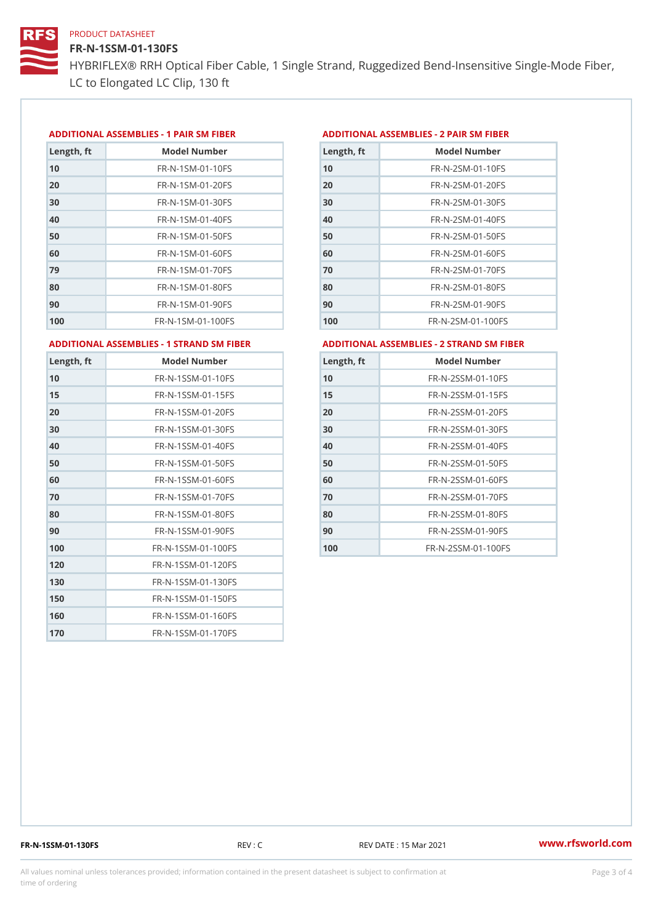# FR-N-1SSM-01-130FS

HYBRIFLEX® RRH Optical Fiber Cable, 1 Single Strand, Ruggedized Be LC to Elongated LC Clip, 130 ft

#### ADDITIONAL ASSEMBLIES - 1 PAIR SM FIBERED DITIONAL ASSEMBLIES - 2 PAIR SM FIBER

| Length, ft | Model Number                   |
|------------|--------------------------------|
| 10         | $FR - N - 1$ S M - 01 - 10 F S |
| 20         | $FR - N - 1$ S M - 01 - 20 F S |
| 30         | FR-N-1SM-01-30FS               |
| 40         | $FR - N - 1$ S M - 01 - 40 F S |
| 50         | FR-N-1SM-01-50FS               |
| 60         | $FR - N - 1$ S M - 01 - 60 F S |
| 79         | FR-N-1SM-01-70FS               |
| 80         | $FR - N - 1 S M - 01 - 80 F S$ |
| 90         | $FR - N - 1$ S M - 01 - 90 F S |
| 100        | FR-N-1SM-01-100FS              |

| Length, ft | Model Number                   |
|------------|--------------------------------|
| 10         | $FR - N - 2 S M - 01 - 10 F S$ |
| 20         | $FR - N - 2 S M - 01 - 20 F S$ |
| 30         | $FR - N - 2 S M - 01 - 30 F S$ |
| 40         | $FR - N - 2 S M - 01 - 40 F S$ |
| 50         | $FR - N - 2 S M - 01 - 50 F S$ |
| 60         | $FR - N - 2 S M - 01 - 60 F S$ |
| 70         | $FR - N - 2 S M - 01 - 70 F S$ |
| 80         | $FR - N - 2SM - 01 - 80FS$     |
| 90         | $FR - N - 2 S M - 01 - 90 F S$ |
| 100        | FR-N-2SM-01-100FS              |
|            |                                |

ADDITIONAL ASSEMBLIES - 1 STRAND SM FABSDRTIONAL ASSEMBLIES - 2 STRAND SM FIBER

| Length, ft | Model Number                     |
|------------|----------------------------------|
| 10         | FR-N-1SSM-01-10FS                |
| 15         | FR-N-1SSM-01-15FS                |
| 20         | FR-N-1SSM-01-20FS                |
| 30         | FR-N-1SSM-01-30FS                |
| 40         | FR-N-1SSM-01-40FS                |
| 50         | $FR - N - 1$ S S M - 01 - 50 F S |
| 60         | FR-N-1SSM-01-60FS                |
| 70         | FR-N-1SSM-01-70FS                |
| 80         | FR-N-1SSM-01-80FS                |
| 90         | $FR - N - 1$ S S M - 01 - 90 F S |
| 100        | FR-N-1SSM-01-100FS               |
| 120        | FR-N-1SSM-01-120FS               |
| 130        | FR-N-1SSM-01-130FS               |
| 150        | FR-N-1SSM-01-150FS               |
| 160        | FR-N-1SSM-01-160FS               |
| 170        | FR-N-1SSM-01-170FS               |

| Length, ft | Model Number                     |
|------------|----------------------------------|
| 10         | $FR - N - 2$ S S M - 01 - 10 F S |
| 15         | FR-N-2SSM-01-15FS                |
| 20         | FR-N-2SSM-01-20FS                |
| 30         | $FR - N - 2$ S S M - 01 - 30 F S |
| 40         | $FR - N - 2$ S S M - 01 - 40 F S |
| 50         | $FR - N - 2$ S S M - 01 - 50 F S |
| 60         | $FR - N - 2$ S S M - 01 - 60 F S |
| 70         | $FR - N - 2$ S S M - 01 - 70 F S |
| 80         | FR-N-2SSM-01-80FS                |
| 90         | $FR - N - 2$ S S M - 01 - 90 F S |
| 100        | FR-N-2SSM-01-100FS               |

FR-N-1SSM-01-130FS REV : C REV DATE : 15 Mar 2021 [www.](https://www.rfsworld.com)rfsworld.com